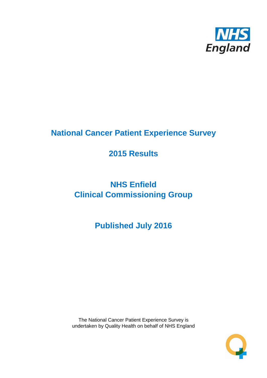

# **National Cancer Patient Experience Survey**

# **2015 Results**

# **NHS Enfield Clinical Commissioning Group**

# **Published July 2016**

The National Cancer Patient Experience Survey is undertaken by Quality Health on behalf of NHS England

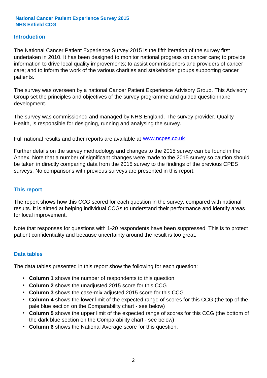### **Introduction**

The National Cancer Patient Experience Survey 2015 is the fifth iteration of the survey first undertaken in 2010. It has been designed to monitor national progress on cancer care; to provide information to drive local quality improvements; to assist commissioners and providers of cancer care; and to inform the work of the various charities and stakeholder groups supporting cancer patients.

The survey was overseen by a national Cancer Patient Experience Advisory Group. This Advisory Group set the principles and objectives of the survey programme and guided questionnaire development.

The survey was commissioned and managed by NHS England. The survey provider, Quality Health, is responsible for designing, running and analysing the survey.

Full national results and other reports are available at www.ncpes.co.uk

Further details on the survey methodology and changes to the 2015 survey can be found in the Annex. Note that a number of significant changes were made to the 2015 survey so caution should be taken in directly comparing data from the 2015 survey to the findings of the previous CPES surveys. No comparisons with previous surveys are presented in this report.

#### **This report**

The report shows how this CCG scored for each question in the survey, compared with national results. It is aimed at helping individual CCGs to understand their performance and identify areas for local improvement.

Note that responses for questions with 1-20 respondents have been suppressed. This is to protect patient confidentiality and because uncertainty around the result is too great.

#### **Data tables**

The data tables presented in this report show the following for each question:

- **Column 1** shows the number of respondents to this question
- **Column 2** shows the unadjusted 2015 score for this CCG
- **Column 3** shows the case-mix adjusted 2015 score for this CCG
- **Column 4** shows the lower limit of the expected range of scores for this CCG (the top of the pale blue section on the Comparability chart - see below)
- **Column 5** shows the upper limit of the expected range of scores for this CCG (the bottom of the dark blue section on the Comparability chart - see below)
- **Column 6** shows the National Average score for this question.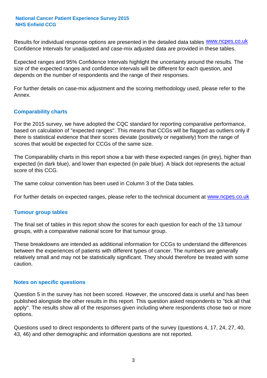Results for individual response options are presented in the detailed data tables **WWW.ncpes.co.uk** Confidence Intervals for unadjusted and case-mix adjusted data are provided in these tables.

Expected ranges and 95% Confidence Intervals highlight the uncertainty around the results. The size of the expected ranges and confidence intervals will be different for each question, and depends on the number of respondents and the range of their responses.

For further details on case-mix adjustment and the scoring methodology used, please refer to the Annex.

### **Comparability charts**

For the 2015 survey, we have adopted the CQC standard for reporting comparative performance, based on calculation of "expected ranges". This means that CCGs will be flagged as outliers only if there is statistical evidence that their scores deviate (positively or negatively) from the range of scores that would be expected for CCGs of the same size.

The Comparability charts in this report show a bar with these expected ranges (in grey), higher than expected (in dark blue), and lower than expected (in pale blue). A black dot represents the actual score of this CCG.

The same colour convention has been used in Column 3 of the Data tables.

For further details on expected ranges, please refer to the technical document at **www.ncpes.co.uk** 

#### **Tumour group tables**

The final set of tables in this report show the scores for each question for each of the 13 tumour groups, with a comparative national score for that tumour group.

These breakdowns are intended as additional information for CCGs to understand the differences between the experiences of patients with different types of cancer. The numbers are generally relatively small and may not be statistically significant. They should therefore be treated with some caution.

#### **Notes on specific questions**

Question 5 in the survey has not been scored. However, the unscored data is useful and has been published alongside the other results in this report. This question asked respondents to "tick all that apply". The results show all of the responses given including where respondents chose two or more options.

Questions used to direct respondents to different parts of the survey (questions 4, 17, 24, 27, 40, 43, 46) and other demographic and information questions are not reported.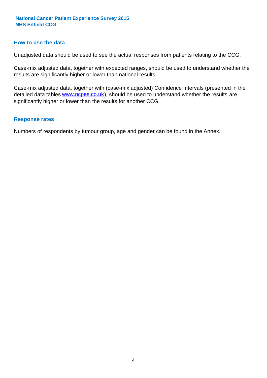#### **How to use the data**

Unadjusted data should be used to see the actual responses from patients relating to the CCG.

Case-mix adjusted data, together with expected ranges, should be used to understand whether the results are significantly higher or lower than national results.

Case-mix adjusted data, together with (case-mix adjusted) Confidence Intervals (presented in the detailed data tables **www.ncpes.co.uk**), should be used to understand whether the results are significantly higher or lower than the results for another CCG.

#### **Response rates**

Numbers of respondents by tumour group, age and gender can be found in the Annex.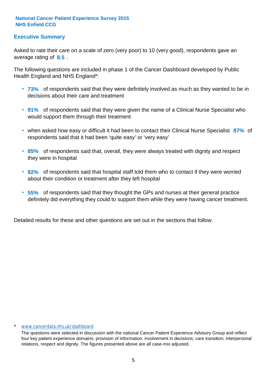# **Executive Summary**

average rating of 8.5. Asked to rate their care on a scale of zero (very poor) to 10 (very good), respondents gave an

The following questions are included in phase 1 of the Cancer Dashboard developed by Public Health England and NHS England\*:

- **73%** of respondents said that they were definitely involved as much as they wanted to be in decisions about their care and treatment
- **91%** of respondents said that they were given the name of a Clinical Nurse Specialist who would support them through their treatment
- when asked how easy or difficult it had been to contact their Clinical Nurse Specialist 87% of respondents said that it had been 'quite easy' or 'very easy'
- **85%** of respondents said that, overall, they were always treated with dignity and respect they were in hospital
- **92%** of respondents said that hospital staff told them who to contact if they were worried about their condition or treatment after they left hospital
- **55%** of respondents said that they thought the GPs and nurses at their general practice definitely did everything they could to support them while they were having cancer treatment.

Detailed results for these and other questions are set out in the sections that follow.

#### \* www.cancerdata.nhs.uk/dashboard

The questions were selected in discussion with the national Cancer Patient Experience Advisory Group and reflect four key patient experience domains: provision of information; involvement in decisions; care transition; interpersonal relations, respect and dignity. The figures presented above are all case-mix adjusted.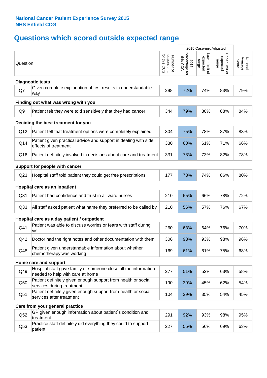# **Questions which scored outside expected range**

| Question                                                                                            | respondents<br>for this CCG<br>Number of | 2015<br>ā | Lower limit of<br>expected<br>range | Upper limit of<br>expected<br>range | Average<br>Score<br>National |  |  |  |
|-----------------------------------------------------------------------------------------------------|------------------------------------------|-----------|-------------------------------------|-------------------------------------|------------------------------|--|--|--|
| <b>Diagnostic tests</b>                                                                             |                                          |           |                                     |                                     |                              |  |  |  |
| Given complete explanation of test results in understandable<br>way                                 | 298                                      | 72%       | 74%                                 | 83%                                 | 79%                          |  |  |  |
| Finding out what was wrong with you                                                                 |                                          |           |                                     |                                     |                              |  |  |  |
| Patient felt they were told sensitively that they had cancer                                        | 344                                      | 79%       | 80%                                 | 88%                                 | 84%                          |  |  |  |
| Deciding the best treatment for you                                                                 |                                          |           |                                     |                                     |                              |  |  |  |
| Patient felt that treatment options were completely explained                                       | 304                                      | 75%       | 78%                                 | 87%                                 | 83%                          |  |  |  |
| Patient given practical advice and support in dealing with side<br>effects of treatment             | 330                                      | 60%       | 61%                                 | 71%                                 | 66%                          |  |  |  |
| Patient definitely involved in decisions about care and treatment                                   | 331                                      | 73%       | 73%                                 | 82%                                 | 78%                          |  |  |  |
| Support for people with cancer                                                                      |                                          |           |                                     |                                     |                              |  |  |  |
| Hospital staff told patient they could get free prescriptions                                       | 177                                      | 73%       | 74%                                 | 86%                                 | 80%                          |  |  |  |
| Hospital care as an inpatient                                                                       |                                          |           |                                     |                                     |                              |  |  |  |
| Patient had confidence and trust in all ward nurses                                                 | 210                                      | 65%       | 66%                                 | 78%                                 | 72%                          |  |  |  |
| All staff asked patient what name they preferred to be called by                                    | 210                                      | 56%       | 57%                                 | 76%                                 | 67%                          |  |  |  |
| Hospital care as a day patient / outpatient                                                         |                                          |           |                                     |                                     |                              |  |  |  |
| Patient was able to discuss worries or fears with staff during<br>visit                             | 260                                      | 63%       | 64%                                 | 76%                                 | 70%                          |  |  |  |
| Doctor had the right notes and other documentation with them                                        | 306                                      | 93%       | 93%                                 | 98%                                 | 96%                          |  |  |  |
| Patient given understandable information about whether<br>chemotherapy was working                  | 169                                      | 61%       | 61%                                 | 75%                                 | 68%                          |  |  |  |
| Home care and support                                                                               |                                          |           |                                     |                                     |                              |  |  |  |
| Hospital staff gave family or someone close all the information<br>needed to help with care at home | 277                                      | 51%       | 52%                                 | 63%                                 | 58%                          |  |  |  |
| Patient definitely given enough support from health or social<br>services during treatment          | 190                                      | 39%       | 45%                                 | 62%                                 | 54%                          |  |  |  |
| Patient definitely given enough support from health or social<br>services after treatment           | 104                                      | 29%       | 35%                                 | 54%                                 | 45%                          |  |  |  |
| Care from your general practice                                                                     |                                          |           |                                     |                                     |                              |  |  |  |
| GP given enough information about patient's condition and<br>treatment                              | 291                                      | 92%       | 93%                                 | 98%                                 | 95%                          |  |  |  |
| Practice staff definitely did everything they could to support<br>patient                           | 227                                      | 55%       | 56%                                 | 69%                                 | 63%                          |  |  |  |
|                                                                                                     |                                          |           | Percentage f<br>this CCG            |                                     | 2015 Case-mix Adjusted       |  |  |  |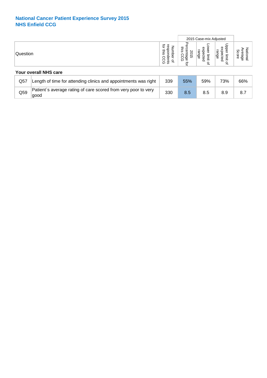|          |                                                                        |                                                                         |                                                             | 2015 Case-mix Adjusted                                  |                                          |                              |
|----------|------------------------------------------------------------------------|-------------------------------------------------------------------------|-------------------------------------------------------------|---------------------------------------------------------|------------------------------------------|------------------------------|
| Question |                                                                        | ਕੁੱ<br>œ,<br>Number<br>४<br>흜<br>pde<br>റ<br>Ŝ.<br>SD <sub>3</sub><br>₽ | ୃତ<br>ਨ<br>sins.<br>is CCG<br>is CCG<br>S0<br>긍<br>ᠺ<br>ਕੁੱ | $\circ$<br>Φ<br>range<br>᠊ᡉ<br>ቧ<br>limit<br>cted<br>਼ੁ | Jpper<br>expected<br>range<br>limit<br>₽ | Average<br>National<br>Score |
|          | <b>Your overall NHS care</b>                                           |                                                                         |                                                             |                                                         |                                          |                              |
| Q57      | Length of time for attending clinics and appointments was right        | 339                                                                     | 55%                                                         | 59%                                                     | 73%                                      | 66%                          |
| Q59      | Patient's average rating of care scored from very poor to very<br>good | 330                                                                     | 8.5                                                         | 8.5                                                     | 8.9                                      | 8.7                          |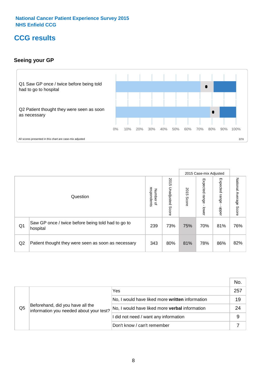# **CCG results**

# **Seeing your GP**



|                |                                                                |                                              |                          |               | 2015 Case-mix Adjusted     |                            |                        |
|----------------|----------------------------------------------------------------|----------------------------------------------|--------------------------|---------------|----------------------------|----------------------------|------------------------|
|                | Question                                                       | respondents<br>Number<br>$\overline{\sigma}$ | 2015 Unadjusted<br>Score | 2015<br>Score | Expected<br>range<br>lower | Expected<br>range<br>nbber | National Average Score |
| Q <sub>1</sub> | Saw GP once / twice before being told had to go to<br>hospital | 239                                          | 73%                      | 75%           | 70%                        | 81%                        | 76%                    |
| Q2             | Patient thought they were seen as soon as necessary            | 343                                          | 80%                      | 81%           | 78%                        | 86%                        | 82%                    |

|    |                                                                             |                                                 | No. |
|----|-----------------------------------------------------------------------------|-------------------------------------------------|-----|
|    | Beforehand, did you have all the<br>information you needed about your test? | Yes                                             | 257 |
|    |                                                                             | No, I would have liked more written information | 19  |
| Q5 |                                                                             | No, I would have liked more verbal information  | 24  |
|    |                                                                             | I did not need / want any information           | 9   |
|    |                                                                             | Don't know / can't remember                     |     |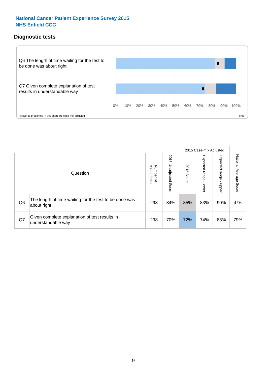# **Diagnostic tests**



|                |                                                                       |                                       |                             |               | 2015 Case-mix Adjusted       |                         |                           |
|----------------|-----------------------------------------------------------------------|---------------------------------------|-----------------------------|---------------|------------------------------|-------------------------|---------------------------|
|                | Question                                                              | respondents<br>Number<br>$\mathbf{Q}$ | 2015<br>Unadjusted<br>Score | 2015<br>Score | Expected<br>I range<br>lower | Expected range<br>nbber | National Average<br>Score |
| Q <sub>6</sub> | The length of time waiting for the test to be done was<br>about right | 298                                   | 84%                         | 85%           | 83%                          | 90%                     | 87%                       |
| Q7             | Given complete explanation of test results in<br>understandable way   | 298                                   | 70%                         | 72%           | 74%                          | 83%                     | 79%                       |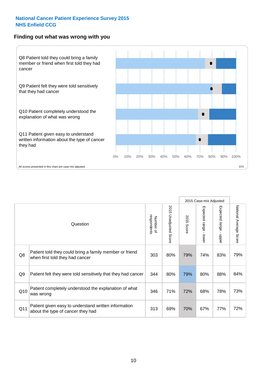### **Finding out what was wrong with you**



|                |                                                                                            |                          |                             |               | 2015 Case-mix Adjusted    |                        |                        |
|----------------|--------------------------------------------------------------------------------------------|--------------------------|-----------------------------|---------------|---------------------------|------------------------|------------------------|
|                | Question                                                                                   | respondents<br>Number of | 2015<br>Unadjusted<br>Score | 2015<br>Score | Expected range<br>- lower | Expected range - upper | National Average Score |
| Q8             | Patient told they could bring a family member or friend<br>when first told they had cancer | 303                      | 80%                         | 79%           | 74%                       | 83%                    | 79%                    |
| Q <sub>9</sub> | Patient felt they were told sensitively that they had cancer                               | 344                      | 80%                         | 79%           | 80%                       | 88%                    | 84%                    |
| Q10            | Patient completely understood the explanation of what<br>was wrong                         | 346                      | 71%                         | 72%           | 68%                       | 78%                    | 73%                    |
| Q11            | Patient given easy to understand written information<br>about the type of cancer they had  | 313                      | 69%                         | 70%           | 67%                       | 77%                    | 72%                    |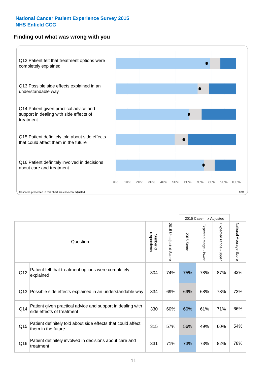### **Finding out what was wrong with you**



|          |                                                                                         |                          |                       |               | 2015 Case-mix Adjusted                  |                           |                        |
|----------|-----------------------------------------------------------------------------------------|--------------------------|-----------------------|---------------|-----------------------------------------|---------------------------|------------------------|
| Question |                                                                                         | respondents<br>Number of | 2015 Unadjusted Score | 2015<br>Score | Expected range<br>$\mathbf{I}$<br>lower | Expected range -<br>nbber | National Average Score |
| Q12      | Patient felt that treatment options were completely<br>explained                        | 304                      | 74%                   | 75%           | 78%                                     | 87%                       | 83%                    |
| Q13      | Possible side effects explained in an understandable way                                | 334                      | 69%                   | 69%           | 68%                                     | 78%                       | 73%                    |
| Q14      | Patient given practical advice and support in dealing with<br>side effects of treatment | 330                      | 60%                   | 60%           | 61%                                     | 71%                       | 66%                    |
| Q15      | Patient definitely told about side effects that could affect<br>them in the future      | 315                      | 57%                   | 56%           | 49%                                     | 60%                       | 54%                    |
| Q16      | Patient definitely involved in decisions about care and<br>treatment                    | 331                      | 71%                   | 73%           | 73%                                     | 82%                       | 78%                    |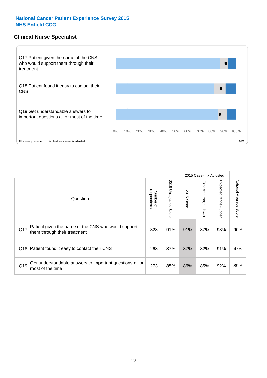### **Clinical Nurse Specialist**



|     |                                                                                     |                          |                       |               | 2015 Case-mix Adjusted  |                         |                                  |
|-----|-------------------------------------------------------------------------------------|--------------------------|-----------------------|---------------|-------------------------|-------------------------|----------------------------------|
|     | Question                                                                            | Number of<br>respondents | 2015 Unadjusted Score | 2015<br>Score | Expected range<br>lower | Expected range<br>nbber | National Average<br><b>Score</b> |
| Q17 | Patient given the name of the CNS who would support<br>them through their treatment | 328                      | 91%                   | 91%           | 87%                     | 93%                     | 90%                              |
| Q18 | Patient found it easy to contact their CNS                                          | 268                      | 87%                   | 87%           | 82%                     | 91%                     | 87%                              |
| Q19 | Get understandable answers to important questions all or<br>most of the time        | 273                      | 85%                   | 86%           | 85%                     | 92%                     | 89%                              |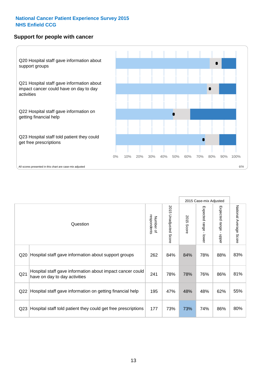### **Support for people with cancer**



|                 |                                                                                            |                          |                             |               | 2015 Case-mix Adjusted  |                                         |                        |
|-----------------|--------------------------------------------------------------------------------------------|--------------------------|-----------------------------|---------------|-------------------------|-----------------------------------------|------------------------|
|                 | Question                                                                                   | respondents<br>Number of | 2015<br>Unadjusted<br>Score | 2015<br>Score | Expected range<br>lower | Expected range<br>$\mathbf{I}$<br>nbber | National Average Score |
| Q <sub>20</sub> | Hospital staff gave information about support groups                                       | 262                      | 84%                         | 84%           | 78%                     | 88%                                     | 83%                    |
| Q <sub>21</sub> | Hospital staff gave information about impact cancer could<br>have on day to day activities | 241                      | 78%                         | 78%           | 76%                     | 86%                                     | 81%                    |
| Q22             | Hospital staff gave information on getting financial help                                  | 195                      | 47%                         | 48%           | 48%                     | 62%                                     | 55%                    |
| Q <sub>23</sub> | Hospital staff told patient they could get free prescriptions                              | 177                      | 73%                         | 73%           | 74%                     | 86%                                     | 80%                    |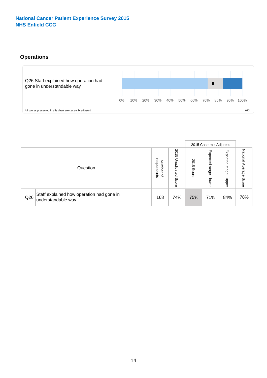# **Operations**



|     |                                                                 |                                              |                             |               | 2015 Case-mix Adjusted     |                            |                              |
|-----|-----------------------------------------------------------------|----------------------------------------------|-----------------------------|---------------|----------------------------|----------------------------|------------------------------|
|     | Question                                                        | respondents<br>Number<br>$\overline{\sigma}$ | 2015<br>Unadjusted<br>Score | 2015<br>Score | Expected<br>range<br>lower | Expected<br>range<br>doper | National<br>Average<br>Score |
| Q26 | Staff explained how operation had gone in<br>understandable way | 168                                          | 74%                         | 75%           | 71%                        | 84%                        | 78%                          |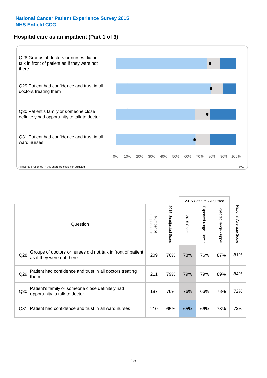# **Hospital care as an inpatient (Part 1 of 3)**



All scores presented in this chart are case-mix adjusted  $07X$ 

|                 |                                                                                           |                          |                                 |               | 2015 Case-mix Adjusted                    |                           |                        |
|-----------------|-------------------------------------------------------------------------------------------|--------------------------|---------------------------------|---------------|-------------------------------------------|---------------------------|------------------------|
|                 | Question                                                                                  | respondents<br>Number of | 2015<br><b>Unadjusted Score</b> | 2015<br>Score | Expected range<br>$\blacksquare$<br>lower | Expected range<br>- nbber | National Average Score |
| Q28             | Groups of doctors or nurses did not talk in front of patient<br>as if they were not there | 209                      | 76%                             | 78%           | 76%                                       | 87%                       | 81%                    |
| Q29             | Patient had confidence and trust in all doctors treating<br>them                          | 211                      | 79%                             | 79%           | 79%                                       | 89%                       | 84%                    |
| Q30             | Patient's family or someone close definitely had<br>opportunity to talk to doctor         | 187                      | 76%                             | 76%           | 66%                                       | 78%                       | 72%                    |
| Q <sub>31</sub> | Patient had confidence and trust in all ward nurses                                       | 210                      | 65%                             | 65%           | 66%                                       | 78%                       | 72%                    |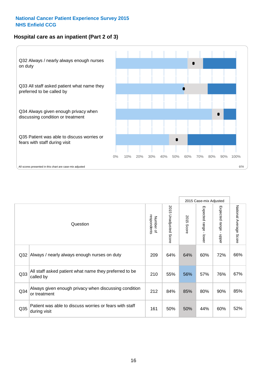# **Hospital care as an inpatient (Part 2 of 3)**



2015 Case-mix Adjusted National Average Score 2015 Unadjusted Score Expected range - lower Expected range - upper National Average Score 2015 Unadjusted Score Expected range - upper Expected range - lower Number of<br>respondents respondents 2015 Score 2015 Score Number of Question Q32 209 64% 64% 60% 72% Always / nearly always enough nurses on duty 66% Q33 210 55% 56% 57% 76% All staff asked patient what name they preferred to be called by 67% Q34 Always given enough privacy when discussing condition  $\begin{array}{|c|c|c|c|c|c|}\n\hline\n\text{Q34} & \text{or } & \text{so} & \text{so} & \text{so} \\
\hline\n\end{array}$ or treatment 85% Patient was able to discuss worries or fears with staff during visit during visit  $\frac{32\%}{80\%}$  during visit Q35  $\frac{1}{4}$  161  $\frac{1}{160}$  50% 44% 60%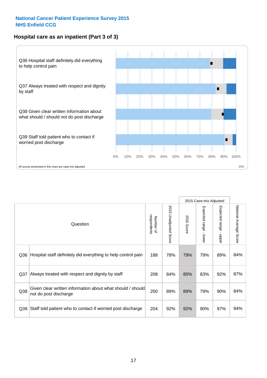# **Hospital care as an inpatient (Part 3 of 3)**



|                 |                                                                                     |                          |                                 |               | 2015 Case-mix Adjusted                    |                                           |                        |
|-----------------|-------------------------------------------------------------------------------------|--------------------------|---------------------------------|---------------|-------------------------------------------|-------------------------------------------|------------------------|
|                 | Question                                                                            | respondents<br>Number of | 2015<br><b>Unadjusted Score</b> | 2015<br>Score | Expected range<br>$\blacksquare$<br>lower | Expected range<br>$\blacksquare$<br>nbber | National Average Score |
| Q36             | Hospital staff definitely did everything to help control pain                       | 188                      | 78%                             | 79%           | 79%                                       | 89%                                       | 84%                    |
| Q <sub>37</sub> | Always treated with respect and dignity by staff                                    | 208                      | 84%                             | 85%           | 83%                                       | 92%                                       | 87%                    |
| Q38             | Given clear written information about what should / should<br>not do post discharge | 200                      | 89%                             | 89%           | 79%                                       | 90%                                       | 84%                    |
| Q39             | Staff told patient who to contact if worried post discharge                         | 204                      | 92%                             | 92%           | 90%                                       | 97%                                       | 94%                    |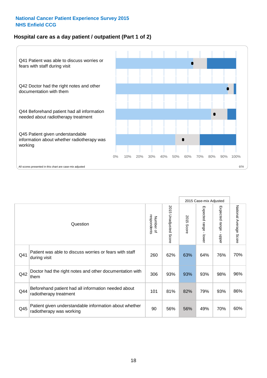# **Hospital care as a day patient / outpatient (Part 1 of 2)**



|     |                                                                                    |                          |                                 |                      | 2015 Case-mix Adjusted                    |                                           |                        |
|-----|------------------------------------------------------------------------------------|--------------------------|---------------------------------|----------------------|-------------------------------------------|-------------------------------------------|------------------------|
|     | Question                                                                           | respondents<br>Number of | 2015<br><b>Unadjusted Score</b> | 2015<br><b>Score</b> | Expected range<br>$\blacksquare$<br>lower | Expected range<br>$\blacksquare$<br>nbber | National Average Score |
| Q41 | Patient was able to discuss worries or fears with staff<br>during visit            | 260                      | 62%                             | 63%                  | 64%                                       | 76%                                       | 70%                    |
| Q42 | Doctor had the right notes and other documentation with<br>them                    | 306                      | 93%                             | 93%                  | 93%                                       | 98%                                       | 96%                    |
| Q44 | Beforehand patient had all information needed about<br>radiotherapy treatment      | 101                      | 81%                             | 82%                  | 79%                                       | 93%                                       | 86%                    |
| Q45 | Patient given understandable information about whether<br>radiotherapy was working | 90                       | 56%                             | 56%                  | 49%                                       | 70%                                       | 60%                    |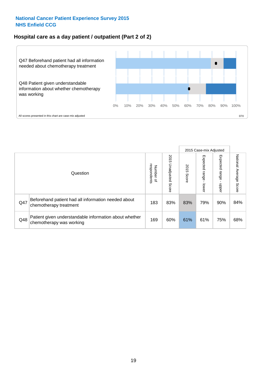### **Hospital care as a day patient / outpatient (Part 2 of 2)**



|     |                                                                                    |                                   |                             |               | 2015 Case-mix Adjusted  |                          |                           |
|-----|------------------------------------------------------------------------------------|-----------------------------------|-----------------------------|---------------|-------------------------|--------------------------|---------------------------|
|     | Question                                                                           | respondents<br>Number<br>$\Omega$ | 2015<br>Unadjusted<br>Score | 2015<br>Score | Expected range<br>lower | Expected<br>range<br>dda | National Average<br>Score |
| Q47 | Beforehand patient had all information needed about<br>chemotherapy treatment      | 183                               | 83%                         | 83%           | 79%                     | 90%                      | 84%                       |
| Q48 | Patient given understandable information about whether<br>chemotherapy was working | 169                               | 60%                         | 61%           | 61%                     | 75%                      | 68%                       |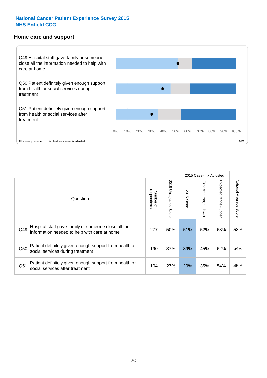#### **Home care and support**



2015 Case-mix Adjusted 2015 Unadjusted Score Expected range - upper National Average Score 2015 Unadjusted Score Expected range - lower National Average Score Expected range - lower Expected range - upper Number of<br>respondents respondents 2015 Score 2015 Score Number of Question Hospital staff gave family or someone close all the  $Q49$  information needed to help with care at home  $277$  |  $50\%$  |  $51\%$  |  $52\%$  |  $63\%$  |  $58\%$ Patient definitely given enough support from health or  $\frac{1}{250}$  social services during treatment  $\frac{1}{250}$   $\frac{190}{37\%}$   $\frac{39\%}{39\%}$   $\frac{45\%}{45\%}$  62%  $\frac{54\%}{54\%}$ Patient definitely given enough support from health or  $\frac{1051}{\text{social services after treatment}}$  104 27% 29% 35% 54% 45%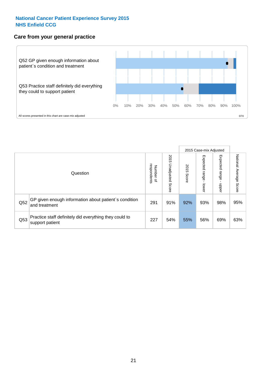### **Care from your general practice**



|     |                                                                           |                                       |                             |               |                             | 2015 Case-mix Adjusted     |                           |
|-----|---------------------------------------------------------------------------|---------------------------------------|-----------------------------|---------------|-----------------------------|----------------------------|---------------------------|
|     | Question                                                                  | respondents<br>Number<br>$\mathbf{Q}$ | 2015<br>Unadjusted<br>Score | 2015<br>Score | Expected<br>Irange<br>lower | Expected<br>range<br>nbber | National Average<br>Score |
| Q52 | GP given enough information about patient's condition<br>and treatment    | 291                                   | 91%                         | 92%           | 93%                         | 98%                        | 95%                       |
| Q53 | Practice staff definitely did everything they could to<br>support patient | 227                                   | 54%                         | 55%           | 56%                         | 69%                        | 63%                       |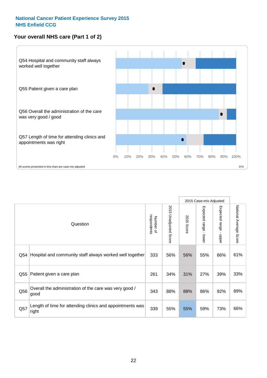# **Your overall NHS care (Part 1 of 2)**



|     |                                                                    |                          |                                 |                      | 2015 Case-mix Adjusted  |                                           |                        |
|-----|--------------------------------------------------------------------|--------------------------|---------------------------------|----------------------|-------------------------|-------------------------------------------|------------------------|
|     | Question                                                           | respondents<br>Number of | 2015<br><b>Unadjusted Score</b> | 2015<br><b>Score</b> | Expected range<br>lower | Expected range<br>$\blacksquare$<br>nbber | National Average Score |
| Q54 | Hospital and community staff always worked well together           | 333                      | 56%                             | 56%                  | 55%                     | 66%                                       | 61%                    |
| Q55 | Patient given a care plan                                          | 261                      | 34%                             | 31%                  | 27%                     | 39%                                       | 33%                    |
| Q56 | Overall the administration of the care was very good /<br>good     | 343                      | 88%                             | 88%                  | 86%                     | 92%                                       | 89%                    |
| Q57 | Length of time for attending clinics and appointments was<br>right | 339                      | 55%                             | 55%                  | 59%                     | 73%                                       | 66%                    |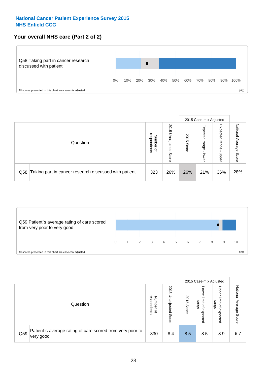# **Your overall NHS care (Part 2 of 2)**



|     |                                                       |                                   |                             |               |                            | 2015 Case-mix Adjusted     |                        |
|-----|-------------------------------------------------------|-----------------------------------|-----------------------------|---------------|----------------------------|----------------------------|------------------------|
|     | Question                                              | respondents<br>Number<br>$\Omega$ | 2015<br>Unadjusted<br>Score | 2015<br>Score | Expected<br>range<br>lower | Expected<br>range<br>nbber | National Average Score |
| Q58 | Taking part in cancer research discussed with patient | 323                               | 26%                         | 26%           | 21%                        | 36%                        | 28%                    |



|     |                                                                        |                                              | 2015 Case-mix Adjusted      |               |                                         |                                                                 |                              |
|-----|------------------------------------------------------------------------|----------------------------------------------|-----------------------------|---------------|-----------------------------------------|-----------------------------------------------------------------|------------------------------|
|     | Question                                                               | respondents<br>Number<br>$\overline{\sigma}$ | 2015<br>Jnadjusted<br>Score | 2015<br>Score | OWer<br>limit<br>range<br>٩<br>expected | Upper<br>limit<br>range<br>$\overline{\mathcal{C}}$<br>expected | National<br>Average<br>Score |
| Q59 | Patient's average rating of care scored from very poor to<br>very good | 330                                          | 8.4                         | 8.5           | 8.5                                     | 8.9                                                             | 8.7                          |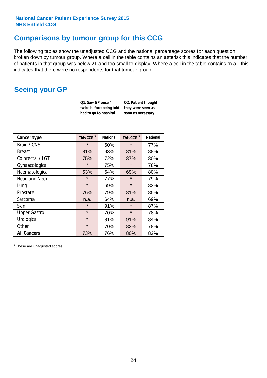# **Comparisons by tumour group for this CCG**

The following tables show the unadjusted CCG and the national percentage scores for each question broken down by tumour group. Where a cell in the table contains an asterisk this indicates that the number of patients in that group was below 21 and too small to display. Where a cell in the table contains "n.a." this indicates that there were no respondents for that tumour group.

# **Seeing your GP**

|                      | Q1. Saw GP once /<br>had to go to hospital | twice before being told | Q2. Patient thought<br>they were seen as<br>soon as necessary |                 |  |
|----------------------|--------------------------------------------|-------------------------|---------------------------------------------------------------|-----------------|--|
| <b>Cancer type</b>   | This CCG <sup>\$</sup>                     | <b>National</b>         | This CCG <sup>\$</sup>                                        | <b>National</b> |  |
| Brain / CNS          | $\star$                                    | 60%                     | $\star$                                                       | 77%             |  |
| <b>Breast</b>        | 81%                                        | 93%                     | 81%                                                           | 88%             |  |
| Colorectal / LGT     | 75%                                        | 72%                     | 87%                                                           | 80%             |  |
| Gynaecological       | $\star$                                    | 75%                     | $\star$                                                       | 78%             |  |
| Haematological       | 53%                                        | 64%                     | 69%                                                           | 80%             |  |
| <b>Head and Neck</b> | $\star$                                    | 77%                     | $\star$                                                       | 79%             |  |
| Lung                 | $\star$                                    | 69%                     | $\star$                                                       | 83%             |  |
| Prostate             | 76%                                        | 79%                     | 81%                                                           | 85%             |  |
| Sarcoma              | n.a.                                       | 64%                     | n.a.                                                          | 69%             |  |
| <b>Skin</b>          | $\star$                                    | 91%                     | $\star$                                                       | 87%             |  |
| <b>Upper Gastro</b>  | $\star$                                    | 70%                     | $\star$                                                       | 78%             |  |
| Urological           | $\star$                                    | 81%                     | 91%                                                           | 84%             |  |
| Other                | $\star$                                    | 70%                     | 82%                                                           | 78%             |  |
| <b>All Cancers</b>   | 73%                                        | 76%                     | 80%                                                           | 82%             |  |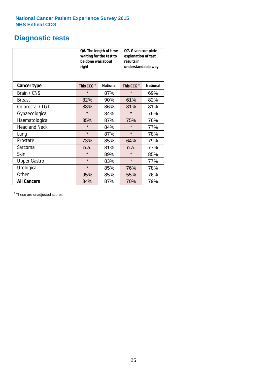# **Diagnostic tests**

|                      | be done was about<br>right | Q6. The length of time<br>waiting for the test to | Q7. Given complete<br>explanation of test<br>results in<br>understandable way |                 |  |  |
|----------------------|----------------------------|---------------------------------------------------|-------------------------------------------------------------------------------|-----------------|--|--|
| <b>Cancer type</b>   | This CCG <sup>\$</sup>     | <b>National</b>                                   | This CCG <sup>\$</sup>                                                        | <b>National</b> |  |  |
| Brain / CNS          | $\star$                    | 87%                                               | $\star$                                                                       | 69%             |  |  |
| Breast               | 82%                        | 90%                                               | 61%                                                                           | 82%             |  |  |
| Colorectal / LGT     | 88%                        | 86%                                               | 81%                                                                           | 81%             |  |  |
| Gynaecological       | $\star$                    | 84%                                               | $\star$                                                                       | 76%             |  |  |
| Haematological       | 85%                        | 87%                                               | 75%                                                                           | 76%             |  |  |
| <b>Head and Neck</b> | $\star$                    | 84%                                               | $\star$                                                                       | 77%             |  |  |
| Lung                 | $\star$                    | 87%                                               | $\star$                                                                       | 78%             |  |  |
| Prostate             | 73%                        | 85%                                               | 64%                                                                           | 79%             |  |  |
| Sarcoma              | n.a.                       | 81%                                               | n.a.                                                                          | 77%             |  |  |
| Skin                 | $\star$                    | 89%                                               | $\star$                                                                       | 85%             |  |  |
| <b>Upper Gastro</b>  | $\star$                    | 83%                                               | $\star$                                                                       | 77%             |  |  |
| Urological           | $\star$                    | 85%                                               | 76%                                                                           | 78%             |  |  |
| Other                | 95%                        | 85%                                               | 55%                                                                           | 76%             |  |  |
| <b>All Cancers</b>   | 84%                        | 87%                                               | 70%                                                                           | 79%             |  |  |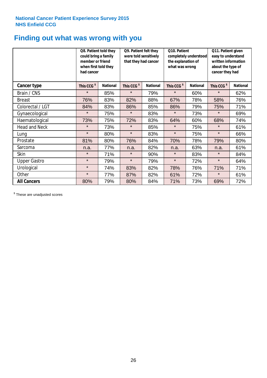# **Finding out what was wrong with you**

|                      | Q8. Patient told they<br>could bring a family<br>member or friend<br>when first told they<br>had cancer |                 | Q9. Patient felt they<br>were told sensitively<br>that they had cancer |                 | Q10. Patient<br>completely understood<br>the explanation of<br>what was wrong |                 | Q11. Patient given<br>easy to understand<br>written information<br>about the type of<br>cancer they had |                 |
|----------------------|---------------------------------------------------------------------------------------------------------|-----------------|------------------------------------------------------------------------|-----------------|-------------------------------------------------------------------------------|-----------------|---------------------------------------------------------------------------------------------------------|-----------------|
| <b>Cancer type</b>   | This CCG <sup>\$</sup>                                                                                  | <b>National</b> | This CCG <sup>\$</sup>                                                 | <b>National</b> | This CCG <sup>\$</sup>                                                        | <b>National</b> | This CCG <sup>\$</sup>                                                                                  | <b>National</b> |
| Brain / CNS          | $\star$                                                                                                 | 85%             | $\star$                                                                | 79%             | $\star$                                                                       | 60%             | $\star$                                                                                                 | 62%             |
| <b>Breast</b>        | 76%                                                                                                     | 83%             | 82%                                                                    | 88%             | 67%                                                                           | 78%             | 58%                                                                                                     | 76%             |
| Colorectal / LGT     | 84%                                                                                                     | 83%             | 86%                                                                    | 85%             | 86%                                                                           | 79%             | 75%                                                                                                     | 71%             |
| Gynaecological       | $\star$                                                                                                 | 75%             | $\star$                                                                | 83%             | $\star$                                                                       | 73%             | $\star$                                                                                                 | 69%             |
| Haematological       | 73%                                                                                                     | 75%             | 72%                                                                    | 83%             | 64%                                                                           | 60%             | 68%                                                                                                     | 74%             |
| <b>Head and Neck</b> | $\star$                                                                                                 | 73%             | $\star$                                                                | 85%             | $\star$                                                                       | 75%             | $\star$                                                                                                 | 61%             |
| Lung                 | $\star$                                                                                                 | 80%             | $\star$                                                                | 83%             | $\star$                                                                       | 75%             | $\star$                                                                                                 | 66%             |
| Prostate             | 81%                                                                                                     | 80%             | 76%                                                                    | 84%             | 70%                                                                           | 78%             | 79%                                                                                                     | 80%             |
| Sarcoma              | n.a.                                                                                                    | 77%             | n.a.                                                                   | 82%             | n.a.                                                                          | 63%             | n.a.                                                                                                    | 61%             |
| Skin                 | $\star$                                                                                                 | 71%             | $\star$                                                                | 90%             | $\star$                                                                       | 83%             | $\star$                                                                                                 | 84%             |
| <b>Upper Gastro</b>  | $\star$                                                                                                 | 79%             | $\star$                                                                | 79%             | $\star$                                                                       | 72%             | $\star$                                                                                                 | 64%             |
| Urological           | $\star$                                                                                                 | 74%             | 83%                                                                    | 82%             | 78%                                                                           | 76%             | 71%                                                                                                     | 71%             |
| Other                | $\star$                                                                                                 | 77%             | 87%                                                                    | 82%             | 61%                                                                           | 72%             | $\star$                                                                                                 | 61%             |
| <b>All Cancers</b>   | 80%                                                                                                     | 79%             | 80%                                                                    | 84%             | 71%                                                                           | 73%             | 69%                                                                                                     | 72%             |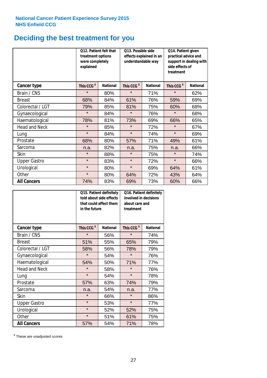# **Deciding the best treatment for you**

|                      | <b>O12. Patient felt that</b><br>treatment options<br>were completely<br>explained |                 | O13. Possible side<br>understandable way | effects explained in an | Q14. Patient given<br>practical advice and<br>support in dealing with<br>side effects of<br>treatment |                 |  |
|----------------------|------------------------------------------------------------------------------------|-----------------|------------------------------------------|-------------------------|-------------------------------------------------------------------------------------------------------|-----------------|--|
| <b>Cancer type</b>   | This CCG <sup>\$</sup>                                                             | <b>National</b> | This CCG <sup>\$</sup>                   | <b>National</b>         | This CCG <sup>\$</sup>                                                                                | <b>National</b> |  |
| Brain / CNS          | $\star$                                                                            | 80%             | $\star$                                  | 71%                     | $\star$                                                                                               | 62%             |  |
| <b>Breast</b>        | 68%                                                                                | 84%             | 61%                                      | 76%                     | 59%                                                                                                   | 69%             |  |
| Colorectal / LGT     | 79%                                                                                | 85%             | 81%                                      | 75%                     | 60%                                                                                                   | 68%             |  |
| Gynaecological       | $\star$                                                                            | 84%             | $\star$                                  | 76%                     | $\star$                                                                                               | 68%             |  |
| Haematological       | 78%                                                                                | 81%             | 73%                                      | 69%                     | 66%                                                                                                   | 65%             |  |
| <b>Head and Neck</b> | $\star$                                                                            | 85%             | $\star$                                  | 72%                     | $\star$                                                                                               | 67%             |  |
| Lung                 | $\star$                                                                            | 84%             | $\star$                                  | 74%                     | $\star$                                                                                               | 69%             |  |
| Prostate             | 68%                                                                                | 80%             | 57%                                      | 71%                     | 49%                                                                                                   | 61%             |  |
| Sarcoma              | n.a.                                                                               | 82%             | n.a.                                     | 75%                     | n.a.                                                                                                  | 66%             |  |
| Skin                 | $\star$                                                                            | 88%             | $\star$                                  | 75%                     | $\star$                                                                                               | 74%             |  |
| <b>Upper Gastro</b>  | $\star$                                                                            | 83%             | $\star$                                  | 72%                     | $\star$                                                                                               | 66%             |  |
| Urological           | $\star$                                                                            | 80%             | $\star$                                  | 69%                     | 64%                                                                                                   | 61%             |  |
| Other                | $\star$                                                                            | 80%             | 64%                                      | 72%                     | 43%                                                                                                   | 64%             |  |
| <b>All Cancers</b>   | 74%                                                                                | 83%             | 69%                                      | 73%                     | 60%                                                                                                   | 66%             |  |

|                      | in the future          | Q15. Patient definitely<br>told about side effects<br>that could affect them | Q16. Patient definitely<br>involved in decisions<br>about care and<br>treatment |                 |  |
|----------------------|------------------------|------------------------------------------------------------------------------|---------------------------------------------------------------------------------|-----------------|--|
| <b>Cancer type</b>   | This CCG <sup>\$</sup> | <b>National</b>                                                              | This CCG <sup>\$</sup>                                                          | <b>National</b> |  |
| Brain / CNS          | $\star$                | 56%                                                                          | $\star$                                                                         | 74%             |  |
| <b>Breast</b>        | 51%                    | 55%                                                                          | 65%                                                                             | 79%             |  |
| Colorectal / LGT     | 58%                    | 56%                                                                          | 78%                                                                             | 79%             |  |
| Gynaecological       | $\star$                | 54%                                                                          | $\star$                                                                         | 76%             |  |
| Haematological       | 50%<br>54%             |                                                                              | 71%                                                                             | 77%             |  |
| <b>Head and Neck</b> | $\star$                | 58%                                                                          | $\star$                                                                         | 76%             |  |
| Lung                 | $\star$                | 54%                                                                          | $\star$                                                                         | 78%             |  |
| Prostate             | 57%                    | 63%                                                                          | 74%                                                                             | 79%             |  |
| Sarcoma              | n.a.                   | 54%                                                                          | n.a.                                                                            | 77%             |  |
| Skin                 | $\star$                | 66%                                                                          | $\star$                                                                         | 86%             |  |
| <b>Upper Gastro</b>  | $\star$                | 53%                                                                          | $\star$                                                                         | 77%             |  |
| Urological           | $\star$                | 52%                                                                          | 52%                                                                             | 75%             |  |
| Other                | $\star$                | 51%                                                                          | 61%                                                                             | 75%             |  |
| <b>All Cancers</b>   | 57%                    | 54%                                                                          | 71%                                                                             | 78%             |  |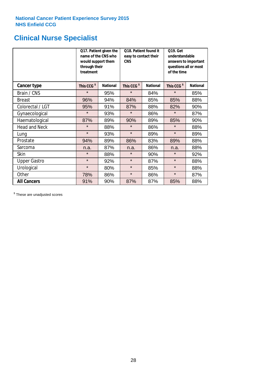# **Clinical Nurse Specialist**

|                      | would support them<br>through their<br>treatment | Q17. Patient given the<br>name of the CNS who | Q18. Patient found it<br>easy to contact their<br><b>CNS</b> |                 | <b>Q19. Get</b><br>understandable<br>answers to important<br>questions all or most<br>of the time |                 |  |
|----------------------|--------------------------------------------------|-----------------------------------------------|--------------------------------------------------------------|-----------------|---------------------------------------------------------------------------------------------------|-----------------|--|
| <b>Cancer type</b>   | This CCG <sup>\$</sup>                           | <b>National</b>                               | This CCG <sup>\$</sup>                                       | <b>National</b> | This CCG <sup>\$</sup>                                                                            | <b>National</b> |  |
| Brain / CNS          | $\star$                                          | 95%                                           | $\star$                                                      | 84%             | $\star$                                                                                           | 85%             |  |
| <b>Breast</b>        | 96%                                              | 94%                                           | 84%                                                          | 85%             | 85%                                                                                               | 88%             |  |
| Colorectal / LGT     | 95%                                              | 91%                                           | 87%                                                          | 88%             | 82%                                                                                               | 90%             |  |
| Gynaecological       | $\star$                                          | 93%                                           | $\star$                                                      | 86%             | $\star$                                                                                           | 87%             |  |
| Haematological       | 87%                                              | 89%                                           | 90%                                                          | 89%             | 85%                                                                                               | 90%             |  |
| <b>Head and Neck</b> | $\star$                                          | 88%                                           | $\star$                                                      | 86%             | $\star$                                                                                           | 88%             |  |
| Lung                 | $\star$                                          | 93%                                           | $\star$                                                      | 89%             | $\star$                                                                                           | 89%             |  |
| Prostate             | 94%                                              | 89%                                           | 86%                                                          | 83%             | 89%                                                                                               | 88%             |  |
| Sarcoma              | n.a.                                             | 87%                                           | n.a.                                                         | 86%             | n.a.                                                                                              | 88%             |  |
| Skin                 | $\star$                                          | 88%                                           | $\star$                                                      | 90%             | $\star$                                                                                           | 92%             |  |
| <b>Upper Gastro</b>  | $\star$                                          | 92%                                           | $\star$                                                      | 87%             | $\star$                                                                                           | 88%             |  |
| Urological           | $\star$                                          | 80%                                           | $\star$                                                      | 85%             | $\star$                                                                                           | 88%             |  |
| Other                | 78%                                              | 86%                                           | $\star$                                                      | 86%             | $\star$                                                                                           | 87%             |  |
| <b>All Cancers</b>   | 91%                                              | 90%                                           | 87%                                                          | 87%             | 85%                                                                                               | 88%             |  |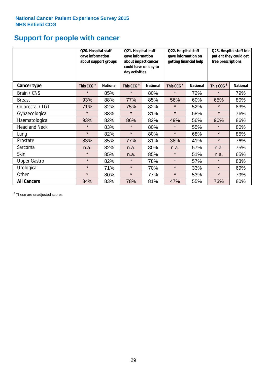# **Support for people with cancer**

|                      |                        | Q20. Hospital staff<br>Q21. Hospital staff<br>gave information<br>gave information<br>about support groups<br>about impact cancer<br>could have on day to<br>day activities |                        |                 | Q22. Hospital staff<br>gave information on<br>getting financial help |                 | Q23. Hospital staff told<br>patient they could get<br>free prescriptions |                 |
|----------------------|------------------------|-----------------------------------------------------------------------------------------------------------------------------------------------------------------------------|------------------------|-----------------|----------------------------------------------------------------------|-----------------|--------------------------------------------------------------------------|-----------------|
| Cancer type          | This CCG <sup>\$</sup> | <b>National</b>                                                                                                                                                             | This CCG <sup>\$</sup> | <b>National</b> | This CCG <sup>\$</sup>                                               | <b>National</b> | This CCG <sup>\$</sup>                                                   | <b>National</b> |
| Brain / CNS          | $\star$                | 85%                                                                                                                                                                         | $\star$                | 80%             | $\star$                                                              | 72%             | $\star$                                                                  | 79%             |
| <b>Breast</b>        | 93%                    | 88%                                                                                                                                                                         | 77%                    | 85%             | 56%                                                                  | 60%             | 65%                                                                      | 80%             |
| Colorectal / LGT     | 71%                    | 82%                                                                                                                                                                         | 75%                    | 82%             | $\star$                                                              | 52%             | $\star$                                                                  | 83%             |
| Gynaecological       | $\star$                | 83%                                                                                                                                                                         | $\star$                | 81%             | $\star$                                                              | 58%             | $\star$                                                                  | 76%             |
| Haematological       | 93%                    | 82%                                                                                                                                                                         | 86%                    | 82%             | 49%                                                                  | 56%             | 90%                                                                      | 86%             |
| <b>Head and Neck</b> | $\star$                | 83%                                                                                                                                                                         | $\star$                | 80%             | $\star$                                                              | 55%             | $\star$                                                                  | 80%             |
| Lung                 | $\star$                | 82%                                                                                                                                                                         | $\star$                | 80%             | $\star$                                                              | 68%             | $\star$                                                                  | 85%             |
| Prostate             | 83%                    | 85%                                                                                                                                                                         | 77%                    | 81%             | 38%                                                                  | 41%             | $\star$                                                                  | 76%             |
| Sarcoma              | n.a.                   | 82%                                                                                                                                                                         | n.a.                   | 80%             | n.a.                                                                 | 57%             | n.a.                                                                     | 75%             |
| Skin                 | $\star$                | 85%                                                                                                                                                                         | n.a.                   | 85%             | $\star$                                                              | 51%             | n.a.                                                                     | 65%             |
| <b>Upper Gastro</b>  | $\star$                | 82%                                                                                                                                                                         | $\star$                | 78%             | $\star$                                                              | 57%             | $\star$                                                                  | 83%             |
| Urological           | $\star$                | 71%                                                                                                                                                                         | $\star$                | 70%             | $\star$                                                              | 33%             | $\star$                                                                  | 69%             |
| Other                | $\star$                | 80%                                                                                                                                                                         | $\star$                | 77%             | $\star$                                                              | 53%             | $\star$                                                                  | 79%             |
| <b>All Cancers</b>   | 84%                    | 83%                                                                                                                                                                         | 78%                    | 81%             | 47%                                                                  | 55%             | 73%                                                                      | 80%             |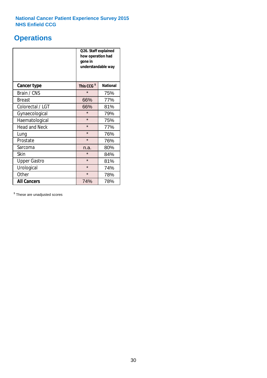# **Operations**

|                      | Q26. Staff explained<br>how operation had<br>gone in<br>understandable way |                 |  |  |
|----------------------|----------------------------------------------------------------------------|-----------------|--|--|
| <b>Cancer type</b>   | This CCG <sup>\$</sup>                                                     | <b>National</b> |  |  |
| Brain / CNS          | $\star$                                                                    | 75%             |  |  |
| <b>Breast</b>        | 66%                                                                        | 77%             |  |  |
| Colorectal / LGT     | 66%                                                                        | 81%             |  |  |
| Gynaecological       | $\star$                                                                    | 79%             |  |  |
| Haematological       | $\star$                                                                    | 75%             |  |  |
| <b>Head and Neck</b> | $\star$                                                                    | 77%             |  |  |
| Lung                 | $\star$                                                                    | 76%             |  |  |
| Prostate             | $\star$                                                                    | 76%             |  |  |
| Sarcoma              | n.a.                                                                       | 80%             |  |  |
| Skin                 | $\star$                                                                    | 84%             |  |  |
| <b>Upper Gastro</b>  | $\star$                                                                    | 81%             |  |  |
| Urological           | $\star$                                                                    | 74%             |  |  |
| Other                | $\star$<br>78%                                                             |                 |  |  |
| <b>All Cancers</b>   | 74%                                                                        | 78%             |  |  |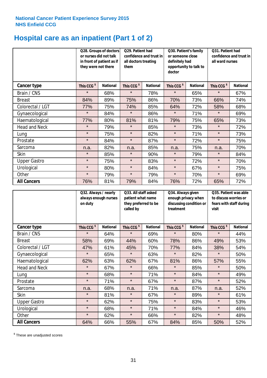# **Hospital care as an inpatient (Part 1 of 2)**

|                      | or nurses did not talk<br>they were not there | Q28. Groups of doctors<br>in front of patient as if | Q29. Patient had<br>confidence and trust in<br>all doctors treating<br>them |                 | Q30. Patient's family<br>or someone close<br>definitely had<br>opportunity to talk to<br>doctor |                 | Q31. Patient had<br>confidence and trust in<br>all ward nurses |                 |
|----------------------|-----------------------------------------------|-----------------------------------------------------|-----------------------------------------------------------------------------|-----------------|-------------------------------------------------------------------------------------------------|-----------------|----------------------------------------------------------------|-----------------|
| Cancer type          | This CCG <sup>\$</sup>                        | <b>National</b>                                     | This CCG <sup>\$</sup>                                                      | <b>National</b> | This CCG <sup>\$</sup>                                                                          | <b>National</b> | This CCG <sup>\$</sup>                                         | <b>National</b> |
| Brain / CNS          | $\star$                                       | 68%                                                 | $\star$                                                                     | 78%             | $\star$                                                                                         | 65%             | $\star$                                                        | 67%             |
| <b>Breast</b>        | 84%                                           | 89%                                                 | 75%                                                                         | 86%             | 70%                                                                                             | 73%             | 66%                                                            | 74%             |
| Colorectal / LGT     | 77%                                           | 75%                                                 | 74%                                                                         | 85%             | 64%                                                                                             | 72%             | 58%                                                            | 68%             |
| Gynaecological       | $\star$                                       | 84%                                                 | $\star$                                                                     | 86%             | $\star$                                                                                         | 71%             | $\star$                                                        | 69%             |
| Haematological       | 77%                                           | 80%                                                 | 81%                                                                         | 81%             | 79%                                                                                             | 75%             | 65%                                                            | 73%             |
| <b>Head and Neck</b> | $\star$                                       | 79%                                                 | $\star$                                                                     | 85%             | $\star$                                                                                         | 73%             | $\star$                                                        | 72%             |
| Lung                 | $\star$                                       | 75%                                                 | $\star$                                                                     | 82%             | $\star$                                                                                         | 71%             | $\star$                                                        | 73%             |
| Prostate             | $\star$                                       | 84%                                                 | $\star$                                                                     | 87%             | $\star$                                                                                         | 72%             | $\star$                                                        | 75%             |
| Sarcoma              | n.a.                                          | 82%                                                 | n.a.                                                                        | 85%             | n.a.                                                                                            | 75%             | n.a.                                                           | 70%             |
| Skin                 | $\star$                                       | 85%                                                 | $\star$                                                                     | 90%             | $\star$                                                                                         | 79%             | $\star$                                                        | 84%             |
| <b>Upper Gastro</b>  | $\star$                                       | 75%                                                 | $\star$                                                                     | 83%             | $\star$                                                                                         | 72%             | $\star$                                                        | 70%             |
| Urological           | $\star$                                       | 80%                                                 | $\star$                                                                     | 84%             | $\star$                                                                                         | 67%             | $\star$                                                        | 75%             |
| Other                | $\star$                                       | 79%                                                 | $\star$                                                                     | 79%             | $\star$                                                                                         | 70%             | $\star$                                                        | 69%             |
| <b>All Cancers</b>   | 76%                                           | 81%                                                 | 79%                                                                         | 84%             | 76%                                                                                             | 72%             | 65%                                                            | 72%             |

|                      | on duty                | Q32. Always / nearly<br>always enough nurses |                        | Q33. All staff asked<br>patient what name<br>they preferred to be<br>called by |                        | Q34. Always given<br>enough privacy when<br>discussing condition or<br>treatment |                        | Q35. Patient was able<br>to discuss worries or<br>fears with staff during<br>visit |  |
|----------------------|------------------------|----------------------------------------------|------------------------|--------------------------------------------------------------------------------|------------------------|----------------------------------------------------------------------------------|------------------------|------------------------------------------------------------------------------------|--|
| Cancer type          | This CCG <sup>\$</sup> | <b>National</b>                              | This CCG <sup>\$</sup> | <b>National</b>                                                                | This CCG <sup>\$</sup> | <b>National</b>                                                                  | This CCG <sup>\$</sup> | <b>National</b>                                                                    |  |
| Brain / CNS          | $\star$                | 64%                                          | $\star$                | 69%                                                                            | $\star$                | 80%                                                                              | $\star$                | 44%                                                                                |  |
| <b>Breast</b>        | 58%                    | 69%                                          | 44%                    | 60%                                                                            | 78%                    | 86%                                                                              | 49%                    | 53%                                                                                |  |
| Colorectal / LGT     | 47%                    | 61%                                          | 45%                    | 70%                                                                            | 77%                    | 84%                                                                              | 38%                    | 54%                                                                                |  |
| Gynaecological       | $\star$                | 65%                                          | $\star$                | 63%                                                                            | $\star$                | 82%                                                                              | $\star$                | 50%                                                                                |  |
| Haematological       | 62%                    | 63%                                          | 62%                    | 67%                                                                            | 81%                    | 86%                                                                              | 57%                    | 55%                                                                                |  |
| <b>Head and Neck</b> | $\star$                | 67%                                          | $\star$                | 66%                                                                            | $\star$                | 85%                                                                              | $\star$                | 50%                                                                                |  |
| Lung                 | $\star$                | 68%                                          | $\star$                | 71%                                                                            | $\star$                | 84%                                                                              | $\star$                | 49%                                                                                |  |
| Prostate             | $\star$                | 71%                                          | $\star$                | 67%                                                                            | $\star$                | 87%                                                                              | $\star$                | 52%                                                                                |  |
| Sarcoma              | n.a.                   | 68%                                          | n.a.                   | 71%                                                                            | n.a.                   | 87%                                                                              | n.a.                   | 52%                                                                                |  |
| Skin                 | $\star$                | 81%                                          | $\star$                | 67%                                                                            | $\star$                | 89%                                                                              | $\star$                | 61%                                                                                |  |
| <b>Upper Gastro</b>  | $\star$                | 62%                                          | $\star$                | 75%                                                                            | $\star$                | 83%                                                                              | $\star$                | 53%                                                                                |  |
| Urological           | $\star$                | 68%                                          | $\star$                | 71%                                                                            | $\star$                | 84%                                                                              | $\star$                | 46%                                                                                |  |
| Other                | $\star$                | 62%                                          | $\star$                | 66%                                                                            | $\star$                | 82%                                                                              | $\star$                | 48%                                                                                |  |
| <b>All Cancers</b>   | 64%                    | 66%                                          | 55%                    | 67%                                                                            | 84%                    | 85%                                                                              | 50%                    | 52%                                                                                |  |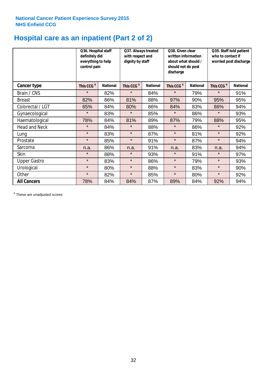# **Hospital care as an inpatient (Part 2 of 2)**

|                      | Q36. Hospital staff<br>definitely did<br>everything to help<br>control pain |                 | Q37. Always treated<br>with respect and<br>dignity by staff |                 | Q38. Given clear<br>written information<br>about what should /<br>should not do post<br>discharge |                 | Q39. Staff told patient<br>who to contact if<br>worried post discharge |                 |
|----------------------|-----------------------------------------------------------------------------|-----------------|-------------------------------------------------------------|-----------------|---------------------------------------------------------------------------------------------------|-----------------|------------------------------------------------------------------------|-----------------|
| Cancer type          | This CCG <sup>\$</sup>                                                      | <b>National</b> | This CCG <sup>\$</sup>                                      | <b>National</b> | This CCG <sup>\$</sup>                                                                            | <b>National</b> | This CCG <sup>\$</sup>                                                 | <b>National</b> |
| Brain / CNS          | $\star$                                                                     | 82%             | $\star$                                                     | 84%             | $\star$                                                                                           | 79%             | $\star$                                                                | 91%             |
| <b>Breast</b>        | 82%                                                                         | 86%             | 81%                                                         | 88%             | 97%                                                                                               | 90%             | 95%                                                                    | 95%             |
| Colorectal / LGT     | 65%                                                                         | 84%             | 80%                                                         | 86%             | 84%                                                                                               | 83%             | 86%                                                                    | 94%             |
| Gynaecological       | $\star$                                                                     | 83%             | $\star$                                                     | 85%             | $\star$                                                                                           | 86%             | $\star$                                                                | 93%             |
| Haematological       | 78%                                                                         | 84%             | 81%                                                         | 89%             | 87%                                                                                               | 79%             | 88%                                                                    | 95%             |
| <b>Head and Neck</b> | $\star$                                                                     | 84%             | $\star$                                                     | 88%             | $\star$                                                                                           | 86%             | $\star$                                                                | 92%             |
| Lung                 | $\star$                                                                     | 83%             | $\star$                                                     | 87%             | $\star$                                                                                           | 81%             | $\star$                                                                | 92%             |
| Prostate             | $\star$                                                                     | 85%             | $\star$                                                     | 91%             | $\star$                                                                                           | 87%             | $\star$                                                                | 94%             |
| Sarcoma              | n.a.                                                                        | 86%             | n.a.                                                        | 91%             | n.a.                                                                                              | 83%             | n.a.                                                                   | 94%             |
| Skin                 | $\star$                                                                     | 88%             | $\star$                                                     | 93%             | $\star$                                                                                           | 91%             | $\star$                                                                | 97%             |
| <b>Upper Gastro</b>  | $\star$                                                                     | 83%             | $\star$                                                     | 86%             | $\star$                                                                                           | 79%             | $\star$                                                                | 93%             |
| Urological           | $\star$                                                                     | 80%             | $\star$                                                     | 88%             | $\star$                                                                                           | 83%             | $\star$                                                                | 90%             |
| Other                | $\star$                                                                     | 82%             | $\star$                                                     | 85%             | $\star$                                                                                           | 80%             | $\star$                                                                | 92%             |
| <b>All Cancers</b>   | 78%                                                                         | 84%             | 84%                                                         | 87%             | 89%                                                                                               | 84%             | 92%                                                                    | 94%             |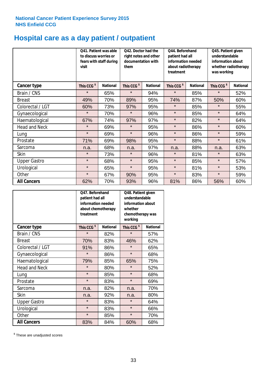# **Hospital care as a day patient / outpatient**

|                      | to discuss worries or<br>visit | Q41. Patient was able<br>fears with staff during | Q42. Doctor had the<br>right notes and other<br>documentation with<br>them |                 | Q44. Beforehand<br>patient had all<br>information needed<br>about radiotherapy<br>treatment |                 | Q45. Patient given<br>understandable<br>information about<br>whether radiotherapy<br>was working |                 |
|----------------------|--------------------------------|--------------------------------------------------|----------------------------------------------------------------------------|-----------------|---------------------------------------------------------------------------------------------|-----------------|--------------------------------------------------------------------------------------------------|-----------------|
| <b>Cancer type</b>   | This CCG <sup>\$</sup>         | <b>National</b>                                  | This CCG <sup>\$</sup>                                                     | <b>National</b> | This CCG <sup>\$</sup>                                                                      | <b>National</b> | This CCG <sup>\$</sup>                                                                           | <b>National</b> |
| Brain / CNS          | $\star$                        | 65%                                              | $\star$                                                                    | 94%             | $\star$                                                                                     | 85%             | $\star$                                                                                          | 52%             |
| <b>Breast</b>        | 49%                            | 70%                                              | 89%                                                                        | 95%             | 74%                                                                                         | 87%             | 50%                                                                                              | 60%             |
| Colorectal / LGT     | 60%                            | 73%                                              | 97%                                                                        | 95%             | $\star$                                                                                     | 85%             | $\star$                                                                                          | 55%             |
| Gynaecological       | $\star$                        | 70%                                              | $\star$                                                                    | 96%             | $\star$                                                                                     | 85%             | $\star$                                                                                          | 64%             |
| Haematological       | 67%                            | 74%                                              | 97%                                                                        | 97%             | $\star$                                                                                     | 82%             | $\star$                                                                                          | 64%             |
| <b>Head and Neck</b> | $\star$                        | 69%                                              | $\star$                                                                    | 95%             | $\star$                                                                                     | 86%             | $\star$                                                                                          | 60%             |
| Lung                 | $\star$                        | 69%                                              | $\star$                                                                    | 96%             | $\star$                                                                                     | 86%             | $\star$                                                                                          | 59%             |
| Prostate             | 71%                            | 69%                                              | 98%                                                                        | 95%             | $\star$                                                                                     | 88%             | $\star$                                                                                          | 61%             |
| Sarcoma              | n.a.                           | 68%                                              | n.a.                                                                       | 97%             | n.a.                                                                                        | 88%             | n.a.                                                                                             | 63%             |
| Skin                 | $\star$                        | 73%                                              | $\star$                                                                    | 96%             | $\star$                                                                                     | 81%             | $\star$                                                                                          | 63%             |
| <b>Upper Gastro</b>  | $\star$                        | 68%                                              | $\star$                                                                    | 95%             | $\star$                                                                                     | 85%             | $\star$                                                                                          | 57%             |
| Urological           | $\star$                        | 65%                                              | $\star$                                                                    | 95%             | $\star$                                                                                     | 81%             | $\star$                                                                                          | 53%             |
| Other                | $\star$                        | 67%                                              | 90%                                                                        | 95%             | $\star$                                                                                     | 83%             | $\star$                                                                                          | 59%             |
| <b>All Cancers</b>   | 62%                            | 70%                                              | 93%                                                                        | 96%             | 81%                                                                                         | 86%             | 56%                                                                                              | 60%             |

|                      | O47. Beforehand<br>patient had all<br>information needed<br>about chemotherapy<br>treatment |                 | Q48. Patient given<br>understandable<br>information about<br>whether<br>chemotherapy was<br>working |                 |  |
|----------------------|---------------------------------------------------------------------------------------------|-----------------|-----------------------------------------------------------------------------------------------------|-----------------|--|
| <b>Cancer type</b>   | This CCG <sup>\$</sup>                                                                      | <b>National</b> | This CCG <sup>\$</sup>                                                                              | <b>National</b> |  |
| Brain / CNS          | $\star$                                                                                     | 82%             | $\star$                                                                                             | 57%             |  |
| <b>Breast</b>        | 70%                                                                                         | 83%             | 46%                                                                                                 | 62%             |  |
| Colorectal / LGT     | 91%                                                                                         | 86%             | $\star$                                                                                             | 65%             |  |
| Gynaecological       | $\star$                                                                                     | 86%             | $\star$                                                                                             | 68%             |  |
| Haematological       | 79%                                                                                         | 85%             |                                                                                                     | 75%             |  |
| <b>Head and Neck</b> | $\star$                                                                                     | 80%             | $\star$                                                                                             | 52%             |  |
| Lung                 | $\star$                                                                                     | 85%             | $\star$                                                                                             | 68%             |  |
| Prostate             | $\star$                                                                                     | 83%             | $\star$                                                                                             | 69%             |  |
| Sarcoma              | n.a.                                                                                        | 82%             | n.a.                                                                                                | 70%             |  |
| Skin                 | n.a.                                                                                        | 92%             | n.a.                                                                                                | 80%             |  |
| <b>Upper Gastro</b>  | $\star$                                                                                     | 83%             | $\star$                                                                                             | 64%             |  |
| Urological           | $\star$                                                                                     | 83%             |                                                                                                     | 66%             |  |
| Other                | $\star$                                                                                     | 85%             | $\star$                                                                                             | 70%             |  |
| <b>All Cancers</b>   | 83%                                                                                         | 84%             | 60%                                                                                                 | 68%             |  |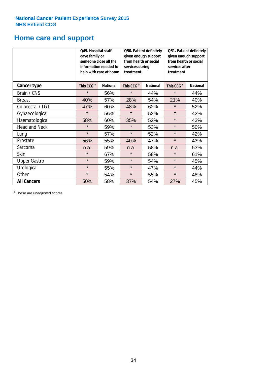# **Home care and support**

|                      | Q49. Hospital staff<br>gave family or | someone close all the<br>information needed to<br>help with care at home | Q50. Patient definitely<br>given enough support<br>from health or social<br>services during<br>treatment |                 | Q51. Patient definitely<br>given enough support<br>from health or social<br>services after<br>treatment |                 |
|----------------------|---------------------------------------|--------------------------------------------------------------------------|----------------------------------------------------------------------------------------------------------|-----------------|---------------------------------------------------------------------------------------------------------|-----------------|
| <b>Cancer type</b>   | This CCG <sup>\$</sup>                | <b>National</b><br>This CCG <sup>\$</sup>                                |                                                                                                          | <b>National</b> | This CCG <sup>\$</sup>                                                                                  | <b>National</b> |
| Brain / CNS          | $\star$                               | 56%                                                                      | $\star$                                                                                                  | 44%             | $\star$                                                                                                 | 44%             |
| <b>Breast</b>        | 40%                                   | 57%                                                                      | 28%                                                                                                      | 54%             | 21%                                                                                                     | 40%             |
| Colorectal / LGT     | 47%                                   | 60%                                                                      | 48%                                                                                                      | 62%             | $\star$                                                                                                 | 52%             |
| Gynaecological       | $\star$                               | 56%                                                                      | $\star$                                                                                                  | 52%             | $\star$                                                                                                 | 42%             |
| Haematological       | 58%                                   | 60%                                                                      | 35%                                                                                                      | 52%             | $\star$                                                                                                 | 43%             |
| <b>Head and Neck</b> | $\star$                               | 59%                                                                      | $\star$                                                                                                  | 53%             | $\star$                                                                                                 | 50%             |
| Lung                 | $\star$                               | 57%                                                                      | $\star$                                                                                                  | 52%             | $\star$                                                                                                 | 42%             |
| Prostate             | 56%                                   | 55%                                                                      | 40%                                                                                                      | 47%             | $\star$                                                                                                 | 43%             |
| Sarcoma              | n.a.                                  | 59%                                                                      | n.a.                                                                                                     | 58%             | n.a.                                                                                                    | 53%             |
| Skin                 | $\star$                               | 67%                                                                      | $\star$                                                                                                  | 58%             | $\star$                                                                                                 | 61%             |
| <b>Upper Gastro</b>  | $\star$                               | 59%                                                                      | $\star$                                                                                                  | 54%             | $\star$                                                                                                 | 45%             |
| Urological           | $\star$                               | 55%                                                                      | $\star$                                                                                                  | 47%             | $\star$                                                                                                 | 44%             |
| Other                | $\star$                               | 54%                                                                      | $\star$                                                                                                  | 55%             | $\star$                                                                                                 | 48%             |
| <b>All Cancers</b>   | 50%                                   | 58%                                                                      | 37%                                                                                                      | 54%             | 27%                                                                                                     | 45%             |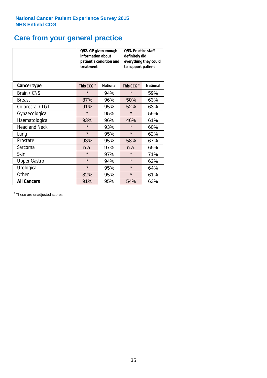# **Care from your general practice**

|                      | information about<br>treatment | Q52. GP given enough<br>patient's condition and | O53. Practice staff<br>definitely did<br>everything they could<br>to support patient |                 |  |
|----------------------|--------------------------------|-------------------------------------------------|--------------------------------------------------------------------------------------|-----------------|--|
| <b>Cancer type</b>   | This CCG <sup>\$</sup>         | <b>National</b>                                 | This CCG <sup>\$</sup>                                                               | <b>National</b> |  |
| Brain / CNS          | $\star$                        | 94%                                             | $\star$                                                                              | 59%             |  |
| <b>Breast</b>        | 87%                            | 96%                                             | 50%                                                                                  | 63%             |  |
| Colorectal / LGT     | 91%                            | 95%                                             | 52%                                                                                  | 63%             |  |
| Gynaecological       | $\star$                        | 95%                                             | $\star$                                                                              | 59%             |  |
| Haematological       | 93%                            | 96%                                             | 46%                                                                                  | 61%             |  |
| <b>Head and Neck</b> | $\star$                        | 93%                                             | $\star$                                                                              | 60%             |  |
| Lung                 | $\star$                        | 95%                                             | $\star$                                                                              | 62%             |  |
| Prostate             | 93%                            | 95%                                             | 58%                                                                                  | 67%             |  |
| Sarcoma              | n.a.                           | 97%                                             | n.a.                                                                                 | 65%             |  |
| Skin                 | $\star$                        | 97%                                             | $\star$                                                                              | 71%             |  |
| <b>Upper Gastro</b>  | $\star$                        | 94%                                             | $\star$                                                                              | 62%             |  |
| Urological           | $\star$                        | 95%                                             | $\star$                                                                              | 64%             |  |
| Other                | 82%                            | 95%                                             | $\star$                                                                              | 61%             |  |
| <b>All Cancers</b>   | 91%                            | 95%                                             | 54%                                                                                  | 63%             |  |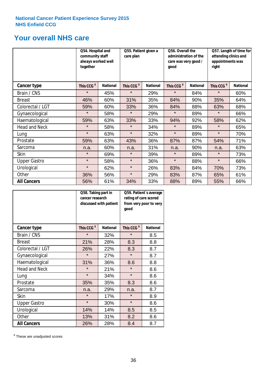# **Your overall NHS care**

|                      | Q54. Hospital and<br>community staff<br>always worked well<br>together |                 | Q55. Patient given a<br>care plan |                 | Q56. Overall the<br>administration of the<br>care was very good /<br>qood |                 | Q57. Length of time for<br>attending clinics and<br>appointments was<br>right |                 |
|----------------------|------------------------------------------------------------------------|-----------------|-----------------------------------|-----------------|---------------------------------------------------------------------------|-----------------|-------------------------------------------------------------------------------|-----------------|
| <b>Cancer type</b>   | This CCG <sup>\$</sup>                                                 | <b>National</b> | This CCG <sup>\$</sup>            | <b>National</b> | This CCG <sup>\$</sup>                                                    | <b>National</b> | This CCG <sup>\$</sup>                                                        | <b>National</b> |
| Brain / CNS          | $\star$                                                                | 45%             | $\star$                           | 29%             | $\star$                                                                   | 84%             | $\star$                                                                       | 60%             |
| <b>Breast</b>        | 46%                                                                    | 60%             | 31%                               | 35%             | 84%                                                                       | 90%             | 35%                                                                           | 64%             |
| Colorectal / LGT     | 59%                                                                    | 60%             | 33%                               | 36%             | 84%                                                                       | 88%             | 63%                                                                           | 68%             |
| Gynaecological       | $\star$                                                                | 58%             | $\star$                           | 29%             | $\star$                                                                   | 89%             | $\star$                                                                       | 66%             |
| Haematological       | 59%                                                                    | 63%             | 33%                               | 33%             | 94%                                                                       | 92%             | 58%                                                                           | 62%             |
| <b>Head and Neck</b> | $\star$                                                                | 58%             | $\star$                           | 34%             | $\star$                                                                   | 89%             | $\star$                                                                       | 65%             |
| Lung                 | $\star$                                                                | 63%             | $\star$                           | 32%             | $\star$                                                                   | 89%             | $\star$                                                                       | 70%             |
| Prostate             | 59%                                                                    | 63%             | 43%                               | 36%             | 87%                                                                       | 87%             | 54%                                                                           | 71%             |
| Sarcoma              | n.a.                                                                   | 60%             | n.a.                              | 31%             | n.a.                                                                      | 90%             | n.a.                                                                          | 63%             |
| Skin                 | $\star$                                                                | 69%             | $\star$                           | 39%             | $\star$                                                                   | 89%             | $\star$                                                                       | 73%             |
| <b>Upper Gastro</b>  | $\star$                                                                | 58%             | $\star$                           | 36%             | $\star$                                                                   | 88%             | $\star$                                                                       | 66%             |
| Urological           | $\star$                                                                | 62%             | $\star$                           | 26%             | 83%                                                                       | 84%             | 70%                                                                           | 73%             |
| Other                | 36%                                                                    | 56%             | $\star$                           | 29%             | 83%                                                                       | 87%             | 65%                                                                           | 61%             |
| <b>All Cancers</b>   | 56%                                                                    | 61%             | 34%                               | 33%             | 88%                                                                       | 89%             | 55%                                                                           | 66%             |

|                      | Q58. Taking part in<br>cancer research | discussed with patient | Q59. Patient's average<br>rating of care scored<br>from very poor to very<br>good |                 |  |
|----------------------|----------------------------------------|------------------------|-----------------------------------------------------------------------------------|-----------------|--|
| <b>Cancer type</b>   | This CCG <sup>\$</sup>                 | <b>National</b>        | This CCG <sup>\$</sup>                                                            | <b>National</b> |  |
| Brain / CNS          | $\star$                                | 32%                    | $\star$                                                                           | 8.5             |  |
| <b>Breast</b>        | 21%                                    | 28%                    | 8.3                                                                               | 8.8             |  |
| Colorectal / LGT     | 26%                                    | 22%                    | 8.3                                                                               | 8.7             |  |
| Gynaecological       | $\star$                                | 27%                    | $\star$                                                                           | 8.7             |  |
| Haematological       | 31%                                    | 36%                    | 8.6                                                                               | 8.8             |  |
| <b>Head and Neck</b> | $\star$                                | 21%                    | $\star$                                                                           | 8.6             |  |
| Lung                 | $\star$                                | 34%                    | $\star$                                                                           | 8.6             |  |
| Prostate             | 35%                                    | 35%                    | 8.3                                                                               | 8.6             |  |
| Sarcoma              | n.a.                                   | 29%                    | n.a.                                                                              | 8.7             |  |
| <b>Skin</b>          | $\star$                                | 17%                    | $\star$                                                                           | 8.9             |  |
| <b>Upper Gastro</b>  | $\star$                                | 30%                    | $\star$                                                                           | 8.6             |  |
| Urological           | 14%                                    | 14%                    | 8.5                                                                               | 8.5             |  |
| Other                | 13%                                    | 31%                    | 8.2                                                                               | 8.6             |  |
| <b>All Cancers</b>   | 26%                                    | 28%                    | 8.4                                                                               | 8.7             |  |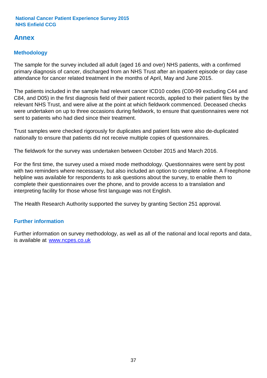# **Annex**

# **Methodology**

The sample for the survey included all adult (aged 16 and over) NHS patients, with a confirmed primary diagnosis of cancer, discharged from an NHS Trust after an inpatient episode or day case attendance for cancer related treatment in the months of April, May and June 2015.

The patients included in the sample had relevant cancer ICD10 codes (C00-99 excluding C44 and C84, and D05) in the first diagnosis field of their patient records, applied to their patient files by the relevant NHS Trust, and were alive at the point at which fieldwork commenced. Deceased checks were undertaken on up to three occasions during fieldwork, to ensure that questionnaires were not sent to patients who had died since their treatment.

Trust samples were checked rigorously for duplicates and patient lists were also de-duplicated nationally to ensure that patients did not receive multiple copies of questionnaires.

The fieldwork for the survey was undertaken between October 2015 and March 2016.

For the first time, the survey used a mixed mode methodology. Questionnaires were sent by post with two reminders where necesssary, but also included an option to complete online. A Freephone helpline was available for respondents to ask questions about the survey, to enable them to complete their questionnaires over the phone, and to provide access to a translation and interpreting facility for those whose first language was not English.

The Health Research Authority supported the survey by granting Section 251 approval.

# **Further information**

Further information on survey methodology, as well as all of the national and local reports and data, is available at www.ncpes.co.uk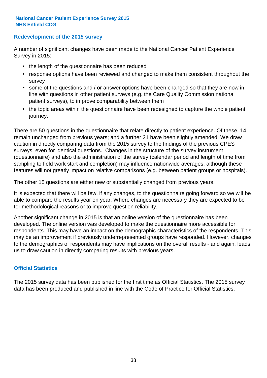### **Redevelopment of the 2015 survey**

A number of significant changes have been made to the National Cancer Patient Experience Survey in 2015:

- the length of the questionnaire has been reduced
- response options have been reviewed and changed to make them consistent throughout the survey
- some of the questions and / or answer options have been changed so that they are now in line with questions in other patient surveys (e.g. the Care Quality Commission national patient surveys), to improve comparability between them
- the topic areas within the questionnaire have been redesigned to capture the whole patient journey.

There are 50 questions in the questionnaire that relate directly to patient experience. Of these, 14 remain unchanged from previous years; and a further 21 have been slightly amended. We draw caution in directly comparing data from the 2015 survey to the findings of the previous CPES surveys, even for identical questions. Changes in the structure of the survey instrument (questionnaire) and also the administration of the survey (calendar period and length of time from sampling to field work start and completion) may influence nationwide averages, although these features will not greatly impact on relative comparisons (e.g. between patient groups or hospitals).

The other 15 questions are either new or substantially changed from previous years.

It is expected that there will be few, if any changes, to the questionnaire going forward so we will be able to compare the results year on year. Where changes are necessary they are expected to be for methodological reasons or to improve question reliability.

Another significant change in 2015 is that an online version of the questionnaire has been developed. The online version was developed to make the questionnaire more accessible for respondents. This may have an impact on the demographic characteristics of the respondents. This may be an improvement if previously underrepresented groups have responded. However, changes to the demographics of respondents may have implications on the overall results - and again, leads us to draw caution in directly comparing results with previous years.

### **Official Statistics**

The 2015 survey data has been published for the first time as Official Statistics. The 2015 survey data has been produced and published in line with the Code of Practice for Official Statistics.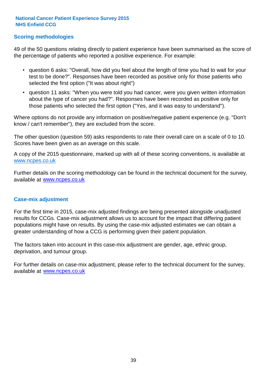### **Scoring methodologies**

49 of the 50 questions relating directly to patient experience have been summarised as the score of the percentage of patients who reported a positive experience. For example:

- question 6 asks: "Overall, how did you feel about the length of time you had to wait for your test to be done?". Responses have been recorded as positive only for those patients who selected the first option ("It was about right")
- question 11 asks: "When you were told you had cancer, were you given written information about the type of cancer you had?". Responses have been recorded as positive only for those patients who selected the first option ("Yes, and it was easy to understand").

Where options do not provide any information on positive/negative patient experience (e.g. "Don't know / can't remember"), they are excluded from the score.

The other question (question 59) asks respondents to rate their overall care on a scale of 0 to 10. Scores have been given as an average on this scale.

A copy of the 2015 questionnaire, marked up with all of these scoring conventions, is available at www.ncpes.co.uk

Further details on the scoring methodology can be found in the technical document for the survey, available at <u>www.ncpes.co.uk</u>

#### **Case-mix adjustment**

For the first time in 2015, case-mix adjusted findings are being presented alongside unadjusted results for CCGs. Case-mix adjustment allows us to account for the impact that differing patient populations might have on results. By using the case-mix adjusted estimates we can obtain a greater understanding of how a CCG is performing given their patient population.

The factors taken into account in this case-mix adjustment are gender, age, ethnic group, deprivation, and tumour group.

For further details on case-mix adjustment, please refer to the technical document for the survey, available at www.ncpes.co.uk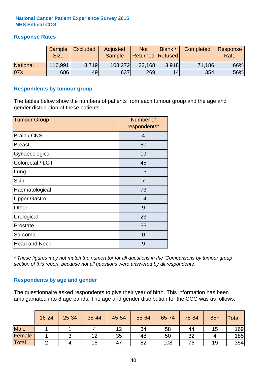### **Response Rates**

|                 | Sample      | <b>Excluded</b> | Adjusted      | <b>Not</b>              | Blank / | Completed | Response |
|-----------------|-------------|-----------------|---------------|-------------------------|---------|-----------|----------|
|                 | <b>Size</b> |                 | <b>Sample</b> | <b>Returned Refused</b> |         |           | Rate     |
| <b>National</b> | 116,991     | 8.719           | 108,272       | 33,168                  | 3.918   | 71,186    | 66%      |
| 07X             | 686         | 49              | 637           | 269                     | 14      | 354       | 56%      |

#### **Respondents by tumour group**

The tables below show the numbers of patients from each tumour group and the age and gender distribution of these patients.

| <b>Tumour Group</b>  | Number of<br>respondents* |
|----------------------|---------------------------|
| Brain / CNS          | $\overline{4}$            |
| <b>Breast</b>        | 80                        |
| Gynaecological       | 19                        |
| Colorectal / LGT     | 45                        |
| Lung                 | 16                        |
| <b>Skin</b>          | 7                         |
| Haematological       | 73                        |
| <b>Upper Gastro</b>  | 14                        |
| Other                | 9                         |
| Urological           | 23                        |
| Prostate             | 55                        |
| Sarcoma              | $\Omega$                  |
| <b>Head and Neck</b> | 9                         |

*\* These figures may not match the numerator for all questions in the 'Comparisons by tumour group' section of this report, because not all questions were answered by all respondents.*

### **Respondents by age and gender**

The questionnaire asked respondents to give their year of birth. This information has been amalgamated into 8 age bands. The age and gender distribution for the CCG was as follows:

|             | 16-24 | 25-34 | 35-44 | 45-54 | 55-64 | 65-74 | 75-84 | $85+$ | <b>Total</b> |
|-------------|-------|-------|-------|-------|-------|-------|-------|-------|--------------|
| <b>Male</b> |       |       |       | 12    | 34    | 58    | 44    | 15    | 169          |
| Female      |       |       | 12    | 35    | 48    | 50    | 32    |       | 185          |
| Total       |       |       | 16    | 47    | 82    | 108   | 76    | 19    | 354          |